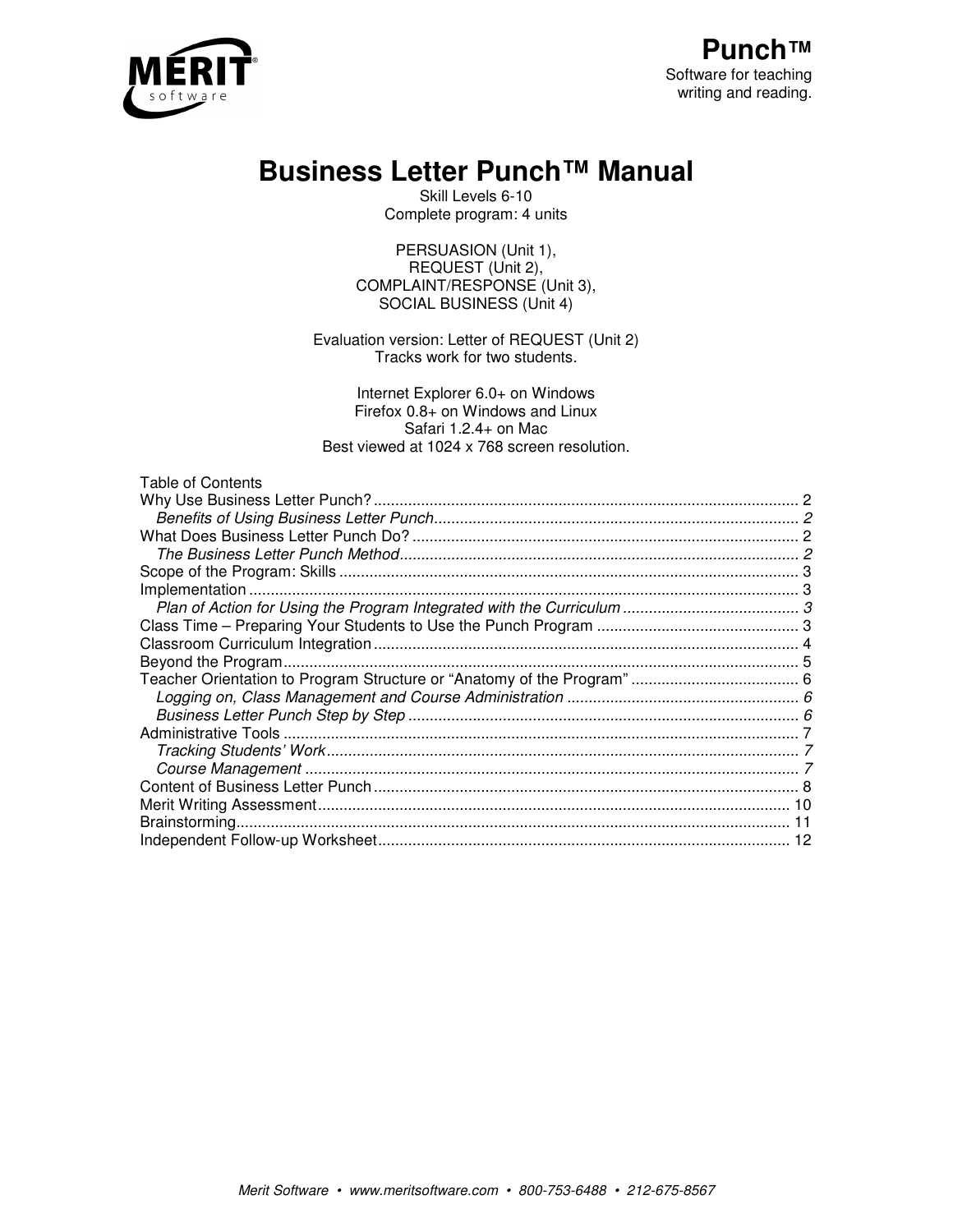

# **Business Letter Punch™ Manual**

Skill Levels 6-10 Complete program: 4 units

PERSUASION (Unit 1), REQUEST (Unit 2), COMPLAINT/RESPONSE (Unit 3), SOCIAL BUSINESS (Unit 4)

Evaluation version: Letter of REQUEST (Unit 2) Tracks work for two students.

Internet Explorer 6.0+ on Windows Firefox 0.8+ on Windows and Linux Safari 1.2.4+ on Mac Best viewed at 1024 x 768 screen resolution.

| Table of Contents |  |
|-------------------|--|
|-------------------|--|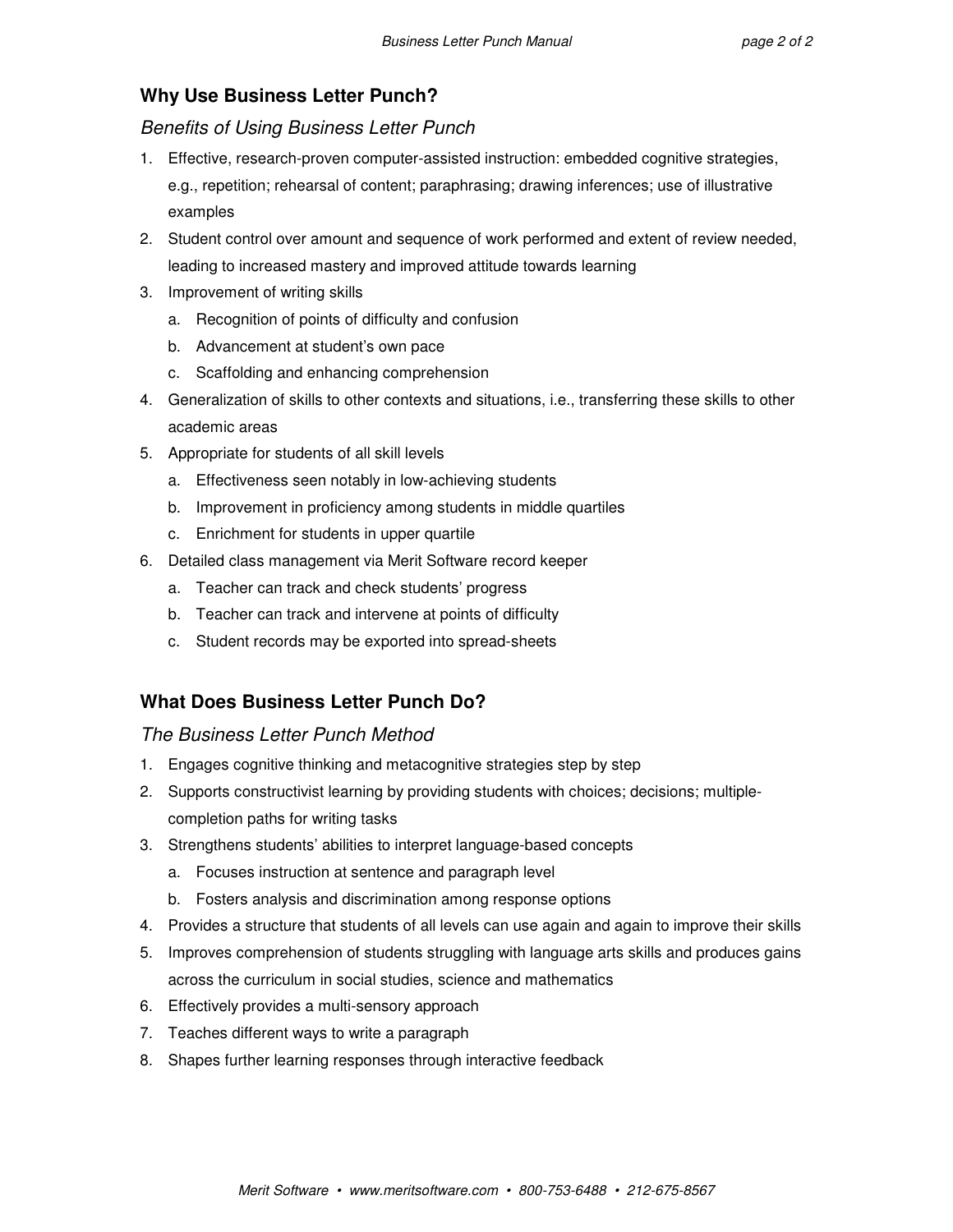# **Why Use Business Letter Punch?**

Benefits of Using Business Letter Punch

- 1. Effective, research-proven computer-assisted instruction: embedded cognitive strategies, e.g., repetition; rehearsal of content; paraphrasing; drawing inferences; use of illustrative examples
- 2. Student control over amount and sequence of work performed and extent of review needed, leading to increased mastery and improved attitude towards learning
- 3. Improvement of writing skills
	- a. Recognition of points of difficulty and confusion
	- b. Advancement at student's own pace
	- c. Scaffolding and enhancing comprehension
- 4. Generalization of skills to other contexts and situations, i.e., transferring these skills to other academic areas
- 5. Appropriate for students of all skill levels
	- a. Effectiveness seen notably in low-achieving students
	- b. Improvement in proficiency among students in middle quartiles
	- c. Enrichment for students in upper quartile
- 6. Detailed class management via Merit Software record keeper
	- a. Teacher can track and check students' progress
	- b. Teacher can track and intervene at points of difficulty
	- c. Student records may be exported into spread-sheets

# **What Does Business Letter Punch Do?**

# The Business Letter Punch Method

- 1. Engages cognitive thinking and metacognitive strategies step by step
- 2. Supports constructivist learning by providing students with choices; decisions; multiplecompletion paths for writing tasks
- 3. Strengthens students' abilities to interpret language-based concepts
	- a. Focuses instruction at sentence and paragraph level
	- b. Fosters analysis and discrimination among response options
- 4. Provides a structure that students of all levels can use again and again to improve their skills
- 5. Improves comprehension of students struggling with language arts skills and produces gains across the curriculum in social studies, science and mathematics
- 6. Effectively provides a multi-sensory approach
- 7. Teaches different ways to write a paragraph
- 8. Shapes further learning responses through interactive feedback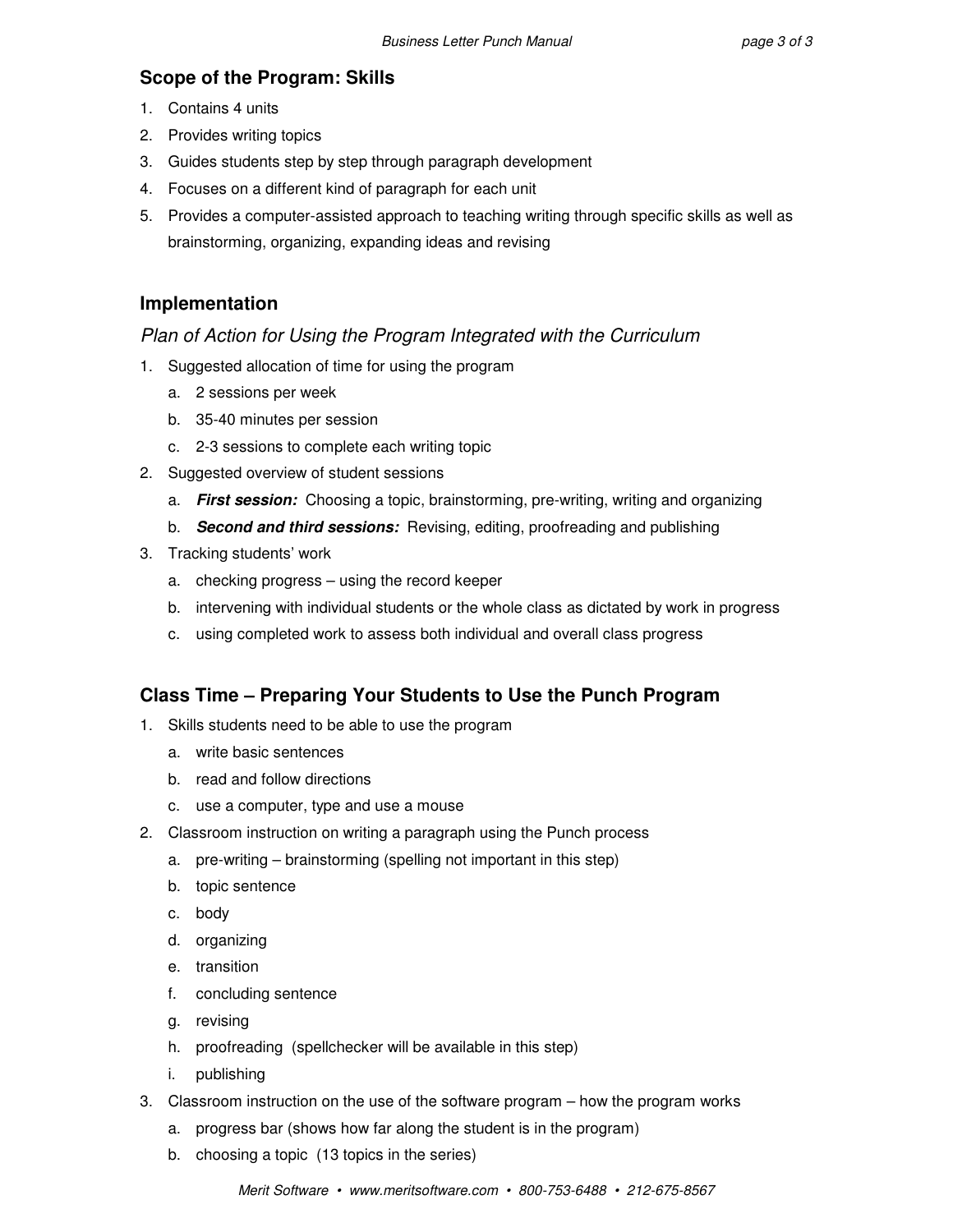# **Scope of the Program: Skills**

- 1. Contains 4 units
- 2. Provides writing topics
- 3. Guides students step by step through paragraph development
- 4. Focuses on a different kind of paragraph for each unit
- 5. Provides a computer-assisted approach to teaching writing through specific skills as well as brainstorming, organizing, expanding ideas and revising

# **Implementation**

# Plan of Action for Using the Program Integrated with the Curriculum

- 1. Suggested allocation of time for using the program
	- a. 2 sessions per week
	- b. 35-40 minutes per session
	- c. 2-3 sessions to complete each writing topic
- 2. Suggested overview of student sessions
	- a. **First session:** Choosing a topic, brainstorming, pre-writing, writing and organizing
	- b. **Second and third sessions:** Revising, editing, proofreading and publishing
- 3. Tracking students' work
	- a. checking progress using the record keeper
	- b. intervening with individual students or the whole class as dictated by work in progress
	- c. using completed work to assess both individual and overall class progress

# **Class Time – Preparing Your Students to Use the Punch Program**

- 1. Skills students need to be able to use the program
	- a. write basic sentences
	- b. read and follow directions
	- c. use a computer, type and use a mouse
- 2. Classroom instruction on writing a paragraph using the Punch process
	- a. pre-writing brainstorming (spelling not important in this step)
	- b. topic sentence
	- c. body
	- d. organizing
	- e. transition
	- f. concluding sentence
	- g. revising
	- h. proofreading (spellchecker will be available in this step)
	- i. publishing
- 3. Classroom instruction on the use of the software program how the program works
	- a. progress bar (shows how far along the student is in the program)
	- b. choosing a topic (13 topics in the series)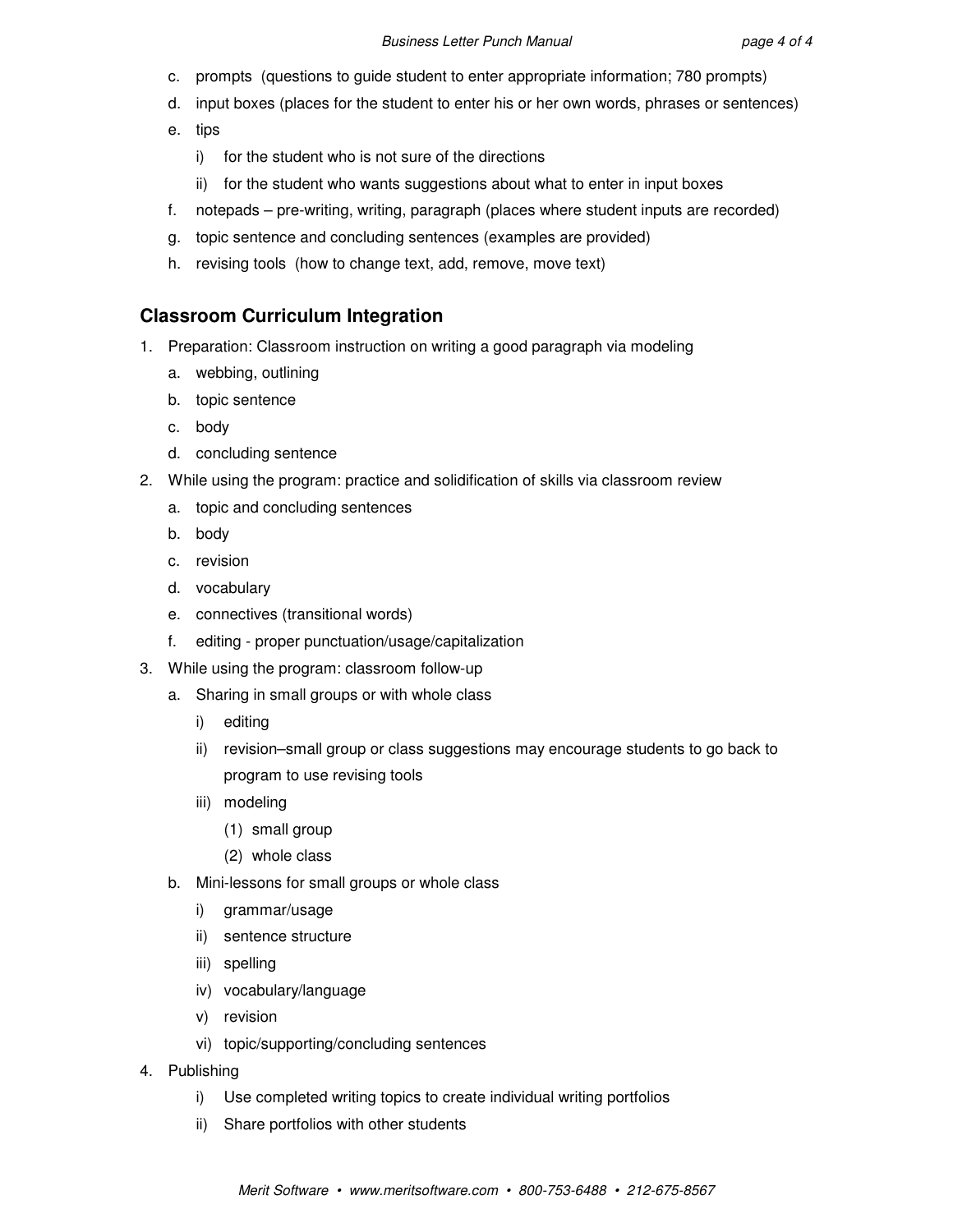- c. prompts (questions to guide student to enter appropriate information; 780 prompts)
- d. input boxes (places for the student to enter his or her own words, phrases or sentences)
- e. tips
	- i) for the student who is not sure of the directions
	- ii) for the student who wants suggestions about what to enter in input boxes
- f. notepads pre-writing, writing, paragraph (places where student inputs are recorded)
- g. topic sentence and concluding sentences (examples are provided)
- h. revising tools (how to change text, add, remove, move text)

# **Classroom Curriculum Integration**

- 1. Preparation: Classroom instruction on writing a good paragraph via modeling
	- a. webbing, outlining
	- b. topic sentence
	- c. body
	- d. concluding sentence
- 2. While using the program: practice and solidification of skills via classroom review
	- a. topic and concluding sentences
	- b. body
	- c. revision
	- d. vocabulary
	- e. connectives (transitional words)
	- f. editing proper punctuation/usage/capitalization
- 3. While using the program: classroom follow-up
	- a. Sharing in small groups or with whole class
		- i) editing
		- ii) revision–small group or class suggestions may encourage students to go back to program to use revising tools
		- iii) modeling
			- (1) small group
			- (2) whole class
	- b. Mini-lessons for small groups or whole class
		- i) grammar/usage
		- ii) sentence structure
		- iii) spelling
		- iv) vocabulary/language
		- v) revision
		- vi) topic/supporting/concluding sentences
- 4. Publishing
	- i) Use completed writing topics to create individual writing portfolios
	- ii) Share portfolios with other students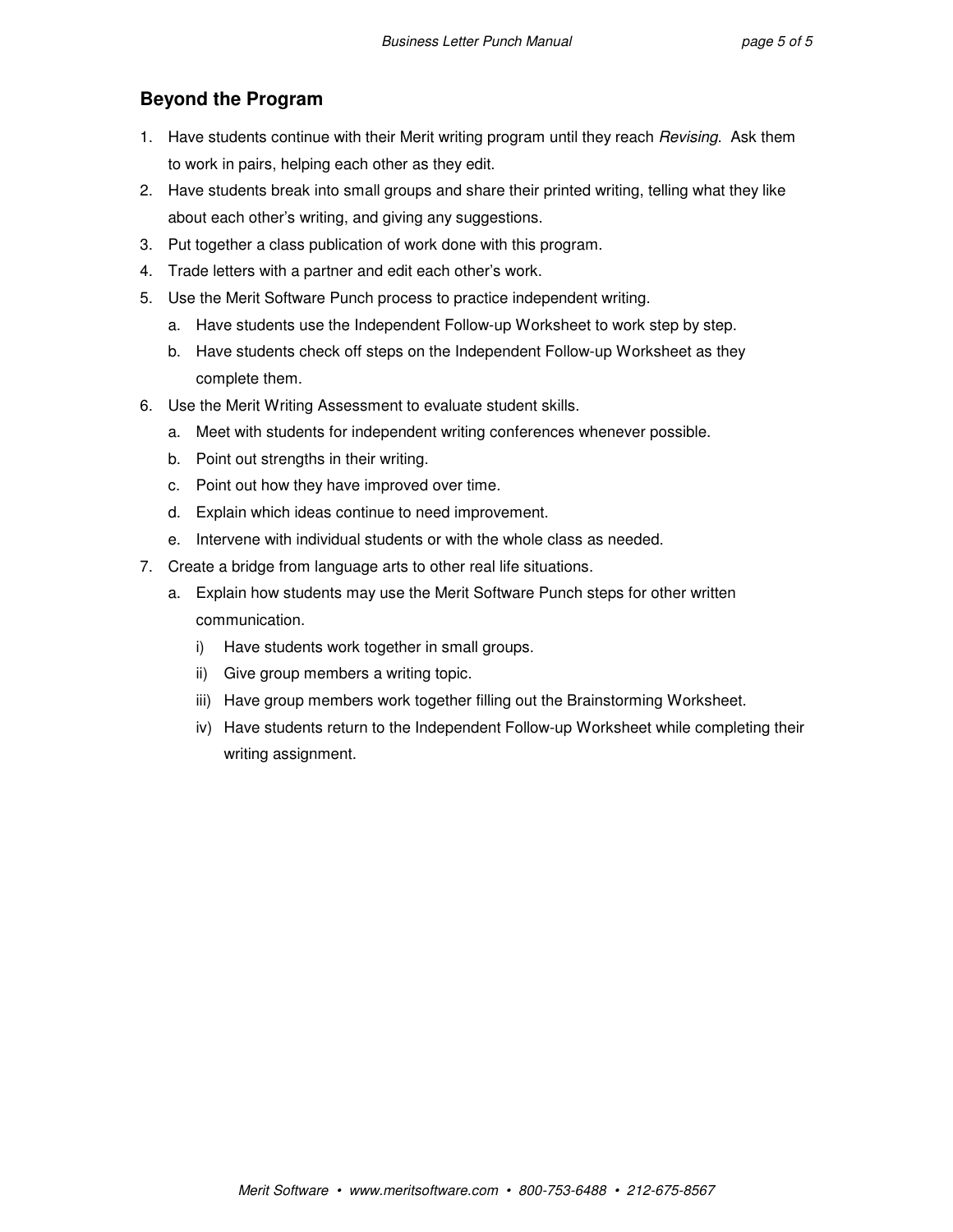# **Beyond the Program**

- 1. Have students continue with their Merit writing program until they reach Revising. Ask them to work in pairs, helping each other as they edit.
- 2. Have students break into small groups and share their printed writing, telling what they like about each other's writing, and giving any suggestions.
- 3. Put together a class publication of work done with this program.
- 4. Trade letters with a partner and edit each other's work.
- 5. Use the Merit Software Punch process to practice independent writing.
	- a. Have students use the Independent Follow-up Worksheet to work step by step.
	- b. Have students check off steps on the Independent Follow-up Worksheet as they complete them.
- 6. Use the Merit Writing Assessment to evaluate student skills.
	- a. Meet with students for independent writing conferences whenever possible.
	- b. Point out strengths in their writing.
	- c. Point out how they have improved over time.
	- d. Explain which ideas continue to need improvement.
	- e. Intervene with individual students or with the whole class as needed.
- 7. Create a bridge from language arts to other real life situations.
	- a. Explain how students may use the Merit Software Punch steps for other written communication.
		- i) Have students work together in small groups.
		- ii) Give group members a writing topic.
		- iii) Have group members work together filling out the Brainstorming Worksheet.
		- iv) Have students return to the Independent Follow-up Worksheet while completing their writing assignment.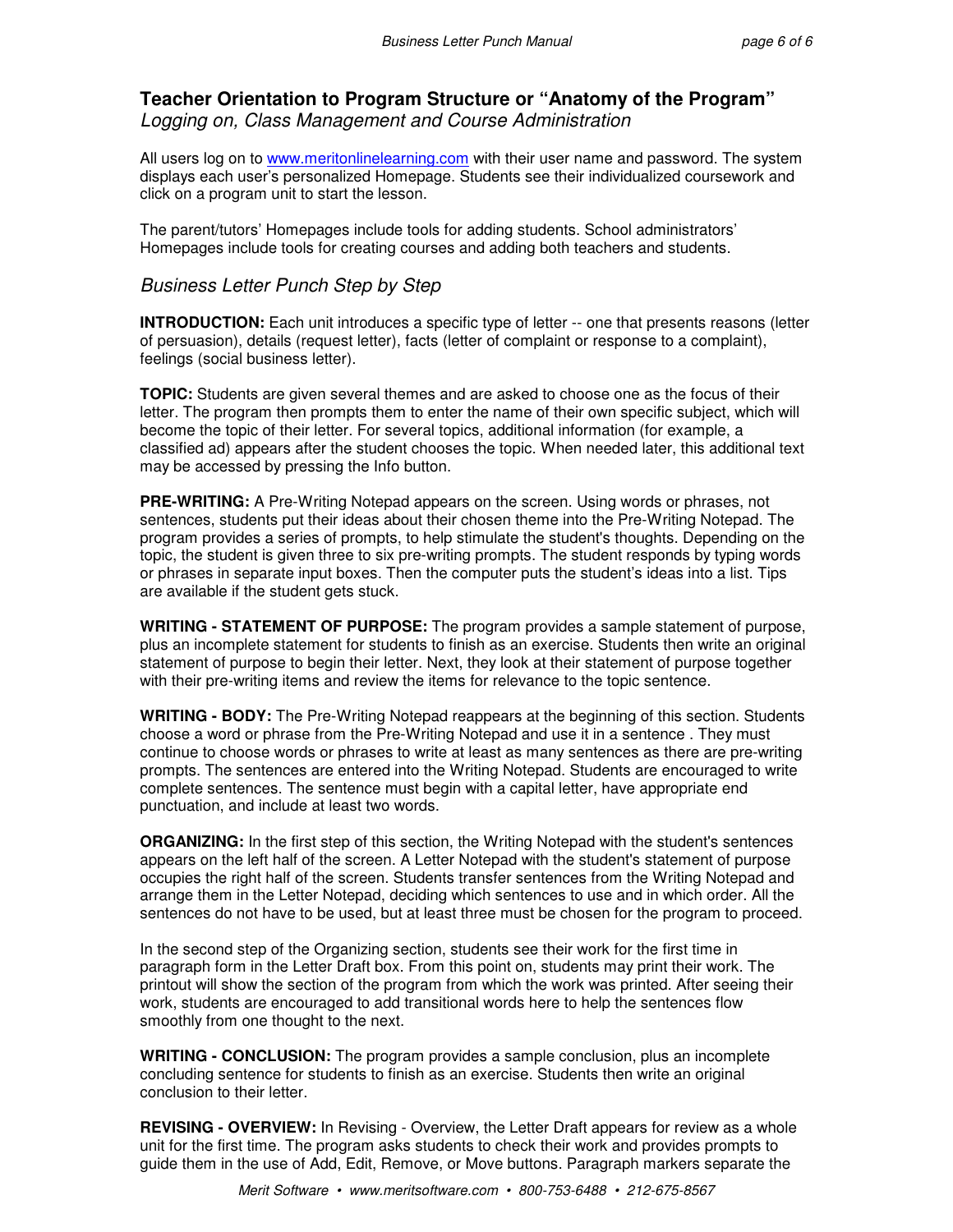### **Teacher Orientation to Program Structure or "Anatomy of the Program"**  Logging on, Class Management and Course Administration

All users log on to www.meritonlinelearning.com with their user name and password. The system displays each user's personalized Homepage. Students see their individualized coursework and click on a program unit to start the lesson.

The parent/tutors' Homepages include tools for adding students. School administrators' Homepages include tools for creating courses and adding both teachers and students.

#### Business Letter Punch Step by Step

**INTRODUCTION:** Each unit introduces a specific type of letter -- one that presents reasons (letter of persuasion), details (request letter), facts (letter of complaint or response to a complaint), feelings (social business letter).

**TOPIC:** Students are given several themes and are asked to choose one as the focus of their letter. The program then prompts them to enter the name of their own specific subject, which will become the topic of their letter. For several topics, additional information (for example, a classified ad) appears after the student chooses the topic. When needed later, this additional text may be accessed by pressing the Info button.

**PRE-WRITING:** A Pre-Writing Notepad appears on the screen. Using words or phrases, not sentences, students put their ideas about their chosen theme into the Pre-Writing Notepad. The program provides a series of prompts, to help stimulate the student's thoughts. Depending on the topic, the student is given three to six pre-writing prompts. The student responds by typing words or phrases in separate input boxes. Then the computer puts the student's ideas into a list. Tips are available if the student gets stuck.

**WRITING - STATEMENT OF PURPOSE:** The program provides a sample statement of purpose, plus an incomplete statement for students to finish as an exercise. Students then write an original statement of purpose to begin their letter. Next, they look at their statement of purpose together with their pre-writing items and review the items for relevance to the topic sentence.

**WRITING - BODY:** The Pre-Writing Notepad reappears at the beginning of this section. Students choose a word or phrase from the Pre-Writing Notepad and use it in a sentence . They must continue to choose words or phrases to write at least as many sentences as there are pre-writing prompts. The sentences are entered into the Writing Notepad. Students are encouraged to write complete sentences. The sentence must begin with a capital letter, have appropriate end punctuation, and include at least two words.

**ORGANIZING:** In the first step of this section, the Writing Notepad with the student's sentences appears on the left half of the screen. A Letter Notepad with the student's statement of purpose occupies the right half of the screen. Students transfer sentences from the Writing Notepad and arrange them in the Letter Notepad, deciding which sentences to use and in which order. All the sentences do not have to be used, but at least three must be chosen for the program to proceed.

In the second step of the Organizing section, students see their work for the first time in paragraph form in the Letter Draft box. From this point on, students may print their work. The printout will show the section of the program from which the work was printed. After seeing their work, students are encouraged to add transitional words here to help the sentences flow smoothly from one thought to the next.

**WRITING - CONCLUSION:** The program provides a sample conclusion, plus an incomplete concluding sentence for students to finish as an exercise. Students then write an original conclusion to their letter.

**REVISING - OVERVIEW:** In Revising - Overview, the Letter Draft appears for review as a whole unit for the first time. The program asks students to check their work and provides prompts to guide them in the use of Add, Edit, Remove, or Move buttons. Paragraph markers separate the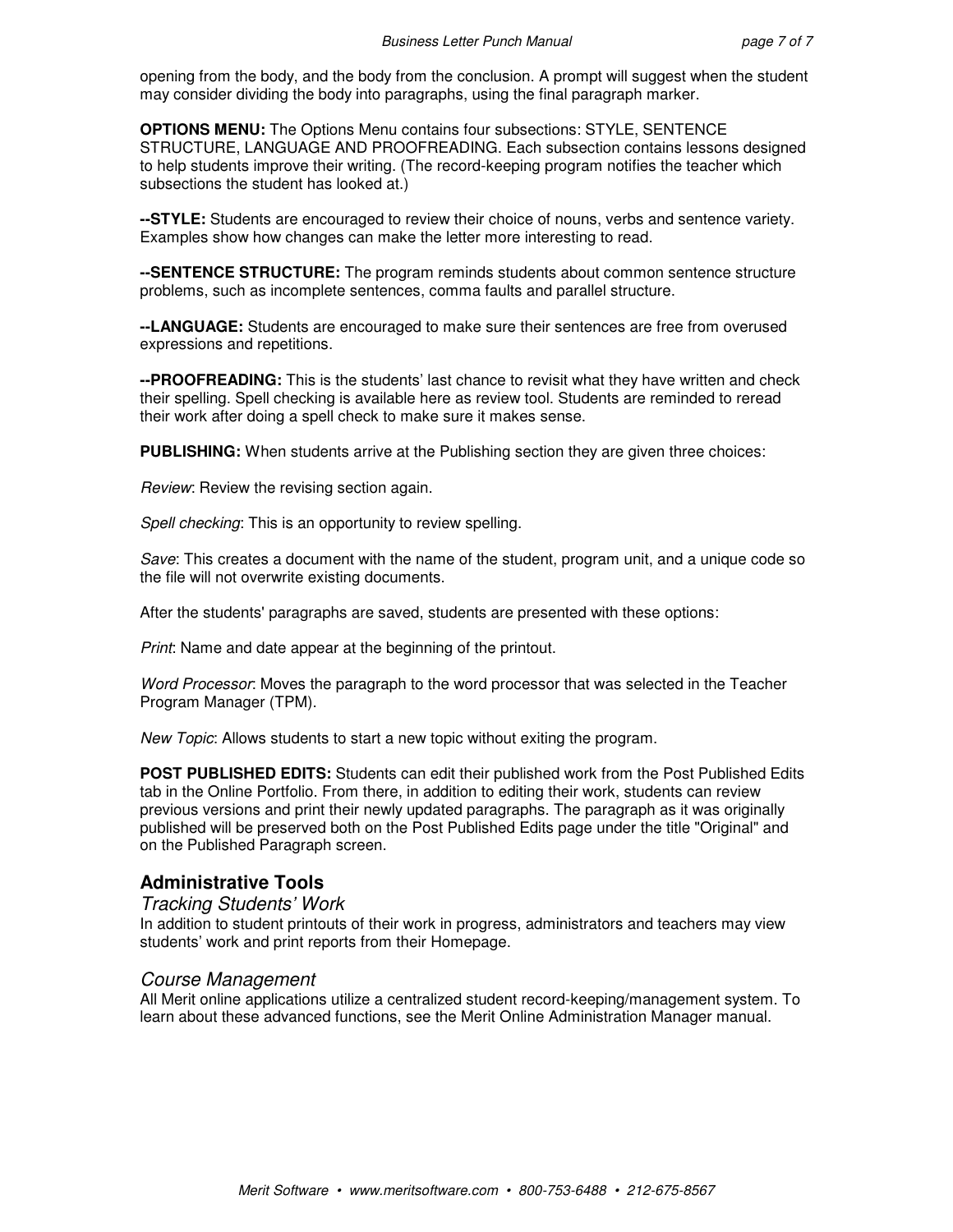opening from the body, and the body from the conclusion. A prompt will suggest when the student may consider dividing the body into paragraphs, using the final paragraph marker.

**OPTIONS MENU:** The Options Menu contains four subsections: STYLE, SENTENCE STRUCTURE, LANGUAGE AND PROOFREADING. Each subsection contains lessons designed to help students improve their writing. (The record-keeping program notifies the teacher which subsections the student has looked at.)

**--STYLE:** Students are encouraged to review their choice of nouns, verbs and sentence variety. Examples show how changes can make the letter more interesting to read.

**--SENTENCE STRUCTURE:** The program reminds students about common sentence structure problems, such as incomplete sentences, comma faults and parallel structure.

**--LANGUAGE:** Students are encouraged to make sure their sentences are free from overused expressions and repetitions.

**--PROOFREADING:** This is the students' last chance to revisit what they have written and check their spelling. Spell checking is available here as review tool. Students are reminded to reread their work after doing a spell check to make sure it makes sense.

**PUBLISHING:** When students arrive at the Publishing section they are given three choices:

Review: Review the revising section again.

Spell checking: This is an opportunity to review spelling.

Save: This creates a document with the name of the student, program unit, and a unique code so the file will not overwrite existing documents.

After the students' paragraphs are saved, students are presented with these options:

Print: Name and date appear at the beginning of the printout.

Word Processor: Moves the paragraph to the word processor that was selected in the Teacher Program Manager (TPM).

New Topic: Allows students to start a new topic without exiting the program.

**POST PUBLISHED EDITS:** Students can edit their published work from the Post Published Edits tab in the Online Portfolio. From there, in addition to editing their work, students can review previous versions and print their newly updated paragraphs. The paragraph as it was originally published will be preserved both on the Post Published Edits page under the title "Original" and on the Published Paragraph screen.

#### **Administrative Tools**

#### Tracking Students' Work

In addition to student printouts of their work in progress, administrators and teachers may view students' work and print reports from their Homepage.

#### Course Management

All Merit online applications utilize a centralized student record-keeping/management system. To learn about these advanced functions, see the Merit Online Administration Manager manual.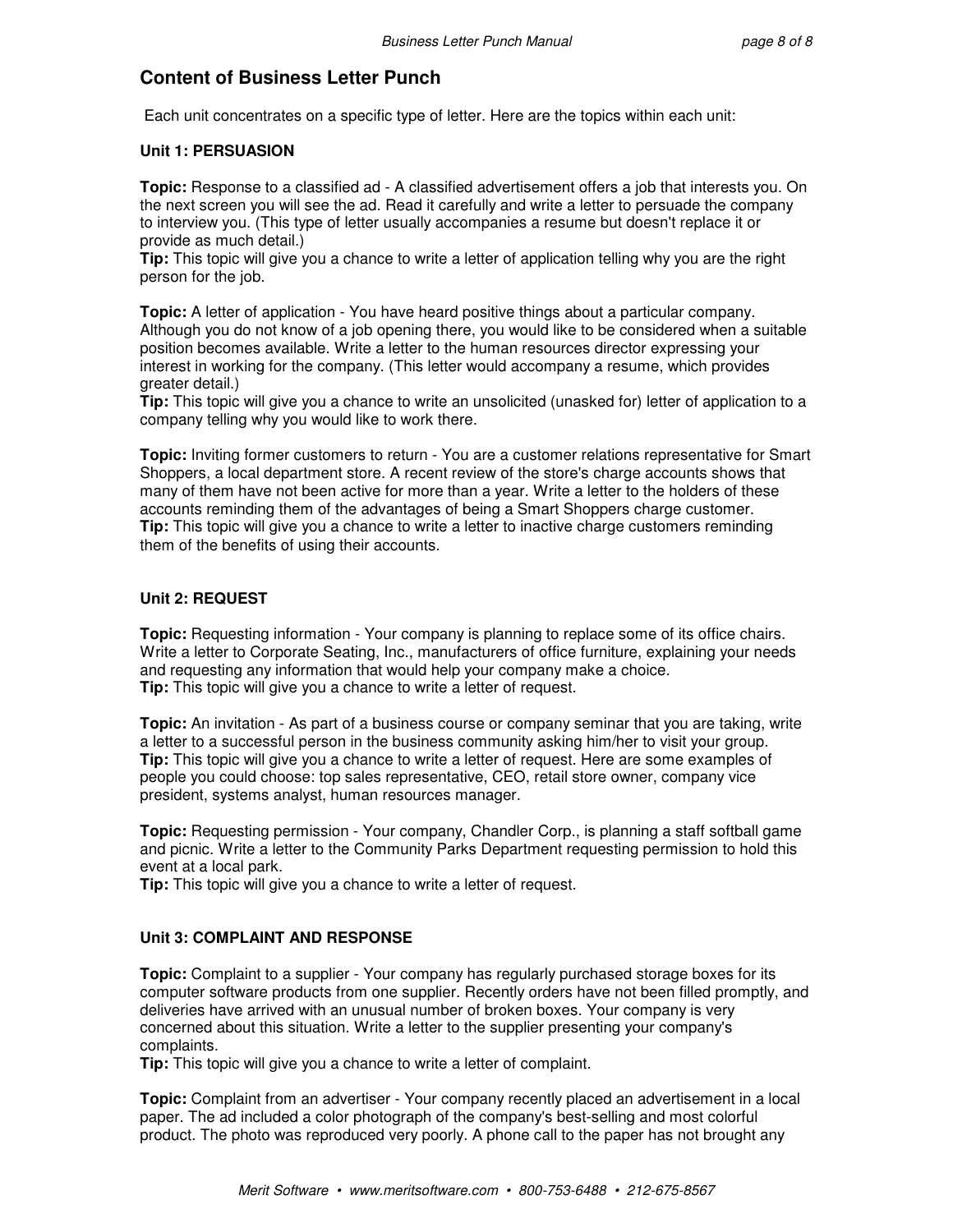# **Content of Business Letter Punch**

Each unit concentrates on a specific type of letter. Here are the topics within each unit:

#### **Unit 1: PERSUASION**

**Topic:** Response to a classified ad - A classified advertisement offers a job that interests you. On the next screen you will see the ad. Read it carefully and write a letter to persuade the company to interview you. (This type of letter usually accompanies a resume but doesn't replace it or provide as much detail.)

**Tip:** This topic will give you a chance to write a letter of application telling why you are the right person for the job.

**Topic:** A letter of application - You have heard positive things about a particular company. Although you do not know of a job opening there, you would like to be considered when a suitable position becomes available. Write a letter to the human resources director expressing your interest in working for the company. (This letter would accompany a resume, which provides greater detail.)

**Tip:** This topic will give you a chance to write an unsolicited (unasked for) letter of application to a company telling why you would like to work there.

**Topic:** Inviting former customers to return - You are a customer relations representative for Smart Shoppers, a local department store. A recent review of the store's charge accounts shows that many of them have not been active for more than a year. Write a letter to the holders of these accounts reminding them of the advantages of being a Smart Shoppers charge customer. **Tip:** This topic will give you a chance to write a letter to inactive charge customers reminding them of the benefits of using their accounts.

#### **Unit 2: REQUEST**

**Topic:** Requesting information - Your company is planning to replace some of its office chairs. Write a letter to Corporate Seating, Inc., manufacturers of office furniture, explaining your needs and requesting any information that would help your company make a choice. **Tip:** This topic will give you a chance to write a letter of request.

**Topic:** An invitation - As part of a business course or company seminar that you are taking, write a letter to a successful person in the business community asking him/her to visit your group. **Tip:** This topic will give you a chance to write a letter of request. Here are some examples of people you could choose: top sales representative, CEO, retail store owner, company vice president, systems analyst, human resources manager.

**Topic:** Requesting permission - Your company, Chandler Corp., is planning a staff softball game and picnic. Write a letter to the Community Parks Department requesting permission to hold this event at a local park.

**Tip:** This topic will give you a chance to write a letter of request.

#### **Unit 3: COMPLAINT AND RESPONSE**

**Topic:** Complaint to a supplier - Your company has regularly purchased storage boxes for its computer software products from one supplier. Recently orders have not been filled promptly, and deliveries have arrived with an unusual number of broken boxes. Your company is very concerned about this situation. Write a letter to the supplier presenting your company's complaints.

**Tip:** This topic will give you a chance to write a letter of complaint.

**Topic:** Complaint from an advertiser - Your company recently placed an advertisement in a local paper. The ad included a color photograph of the company's best-selling and most colorful product. The photo was reproduced very poorly. A phone call to the paper has not brought any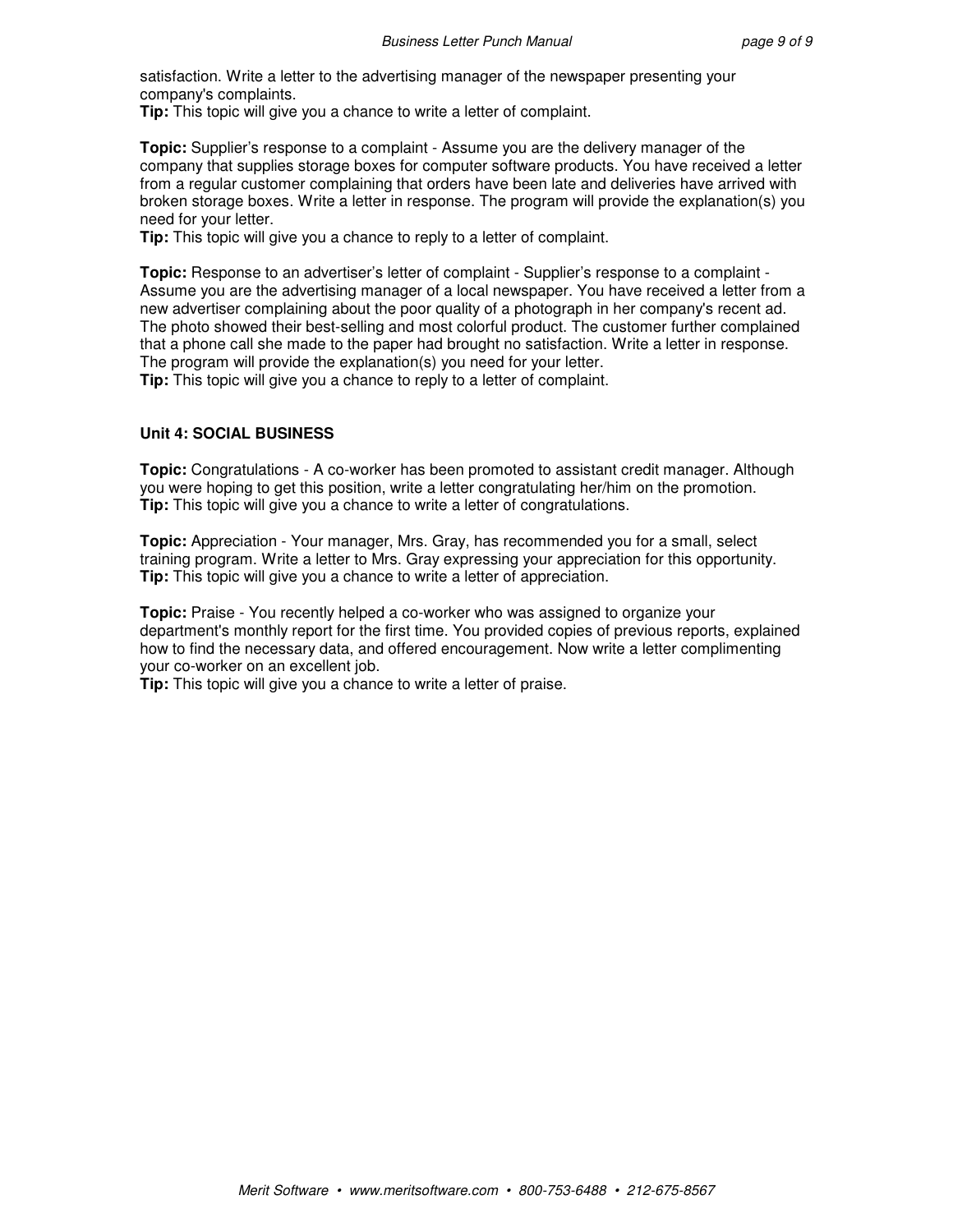satisfaction. Write a letter to the advertising manager of the newspaper presenting your company's complaints.

**Tip:** This topic will give you a chance to write a letter of complaint.

**Topic:** Supplier's response to a complaint - Assume you are the delivery manager of the company that supplies storage boxes for computer software products. You have received a letter from a regular customer complaining that orders have been late and deliveries have arrived with broken storage boxes. Write a letter in response. The program will provide the explanation(s) you need for your letter.

**Tip:** This topic will give you a chance to reply to a letter of complaint.

**Topic:** Response to an advertiser's letter of complaint - Supplier's response to a complaint - Assume you are the advertising manager of a local newspaper. You have received a letter from a new advertiser complaining about the poor quality of a photograph in her company's recent ad. The photo showed their best-selling and most colorful product. The customer further complained that a phone call she made to the paper had brought no satisfaction. Write a letter in response. The program will provide the explanation(s) you need for your letter.

**Tip:** This topic will give you a chance to reply to a letter of complaint.

#### **Unit 4: SOCIAL BUSINESS**

**Topic:** Congratulations - A co-worker has been promoted to assistant credit manager. Although you were hoping to get this position, write a letter congratulating her/him on the promotion. **Tip:** This topic will give you a chance to write a letter of congratulations.

**Topic:** Appreciation - Your manager, Mrs. Gray, has recommended you for a small, select training program. Write a letter to Mrs. Gray expressing your appreciation for this opportunity. **Tip:** This topic will give you a chance to write a letter of appreciation.

**Topic:** Praise - You recently helped a co-worker who was assigned to organize your department's monthly report for the first time. You provided copies of previous reports, explained how to find the necessary data, and offered encouragement. Now write a letter complimenting your co-worker on an excellent job.

**Tip:** This topic will give you a chance to write a letter of praise.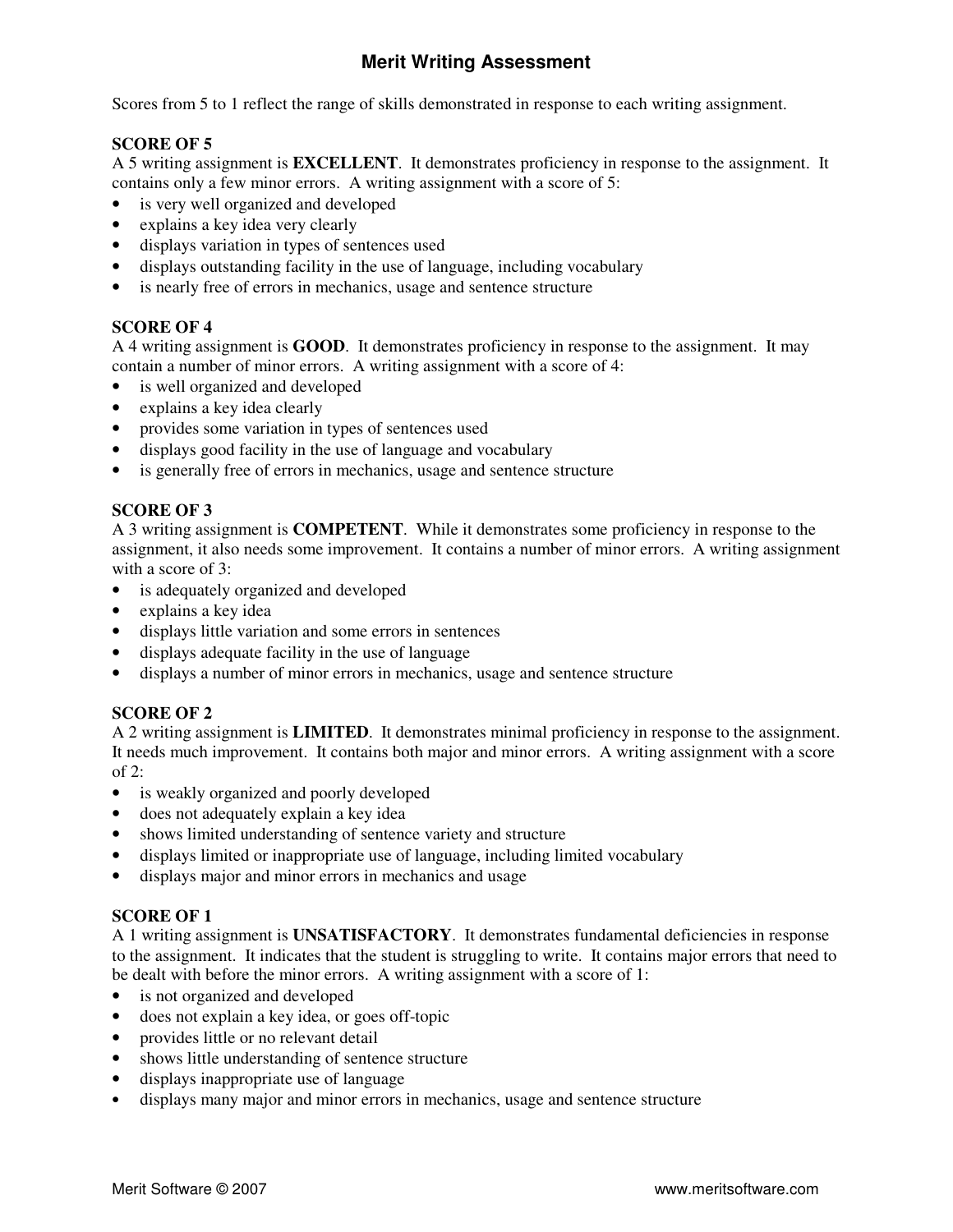# **Merit Writing Assessment**

Scores from 5 to 1 reflect the range of skills demonstrated in response to each writing assignment.

# **SCORE OF 5**

A 5 writing assignment is **EXCELLENT**. It demonstrates proficiency in response to the assignment. It contains only a few minor errors. A writing assignment with a score of 5:

- is very well organized and developed
- explains a key idea very clearly
- displays variation in types of sentences used
- displays outstanding facility in the use of language, including vocabulary
- is nearly free of errors in mechanics, usage and sentence structure

### **SCORE OF 4**

A 4 writing assignment is **GOOD**. It demonstrates proficiency in response to the assignment. It may contain a number of minor errors. A writing assignment with a score of 4:

- is well organized and developed
- explains a key idea clearly
- provides some variation in types of sentences used
- displays good facility in the use of language and vocabulary
- is generally free of errors in mechanics, usage and sentence structure

### **SCORE OF 3**

A 3 writing assignment is **COMPETENT**. While it demonstrates some proficiency in response to the assignment, it also needs some improvement. It contains a number of minor errors. A writing assignment with a score of 3:

- is adequately organized and developed
- explains a key idea
- displays little variation and some errors in sentences
- displays adequate facility in the use of language
- displays a number of minor errors in mechanics, usage and sentence structure

# **SCORE OF 2**

A 2 writing assignment is **LIMITED**. It demonstrates minimal proficiency in response to the assignment. It needs much improvement. It contains both major and minor errors. A writing assignment with a score of 2:

- is weakly organized and poorly developed
- does not adequately explain a key idea
- shows limited understanding of sentence variety and structure
- displays limited or inappropriate use of language, including limited vocabulary
- displays major and minor errors in mechanics and usage

# **SCORE OF 1**

A 1 writing assignment is **UNSATISFACTORY**. It demonstrates fundamental deficiencies in response to the assignment. It indicates that the student is struggling to write. It contains major errors that need to be dealt with before the minor errors. A writing assignment with a score of 1:

- is not organized and developed
- does not explain a key idea, or goes off-topic
- provides little or no relevant detail
- shows little understanding of sentence structure
- displays inappropriate use of language
- displays many major and minor errors in mechanics, usage and sentence structure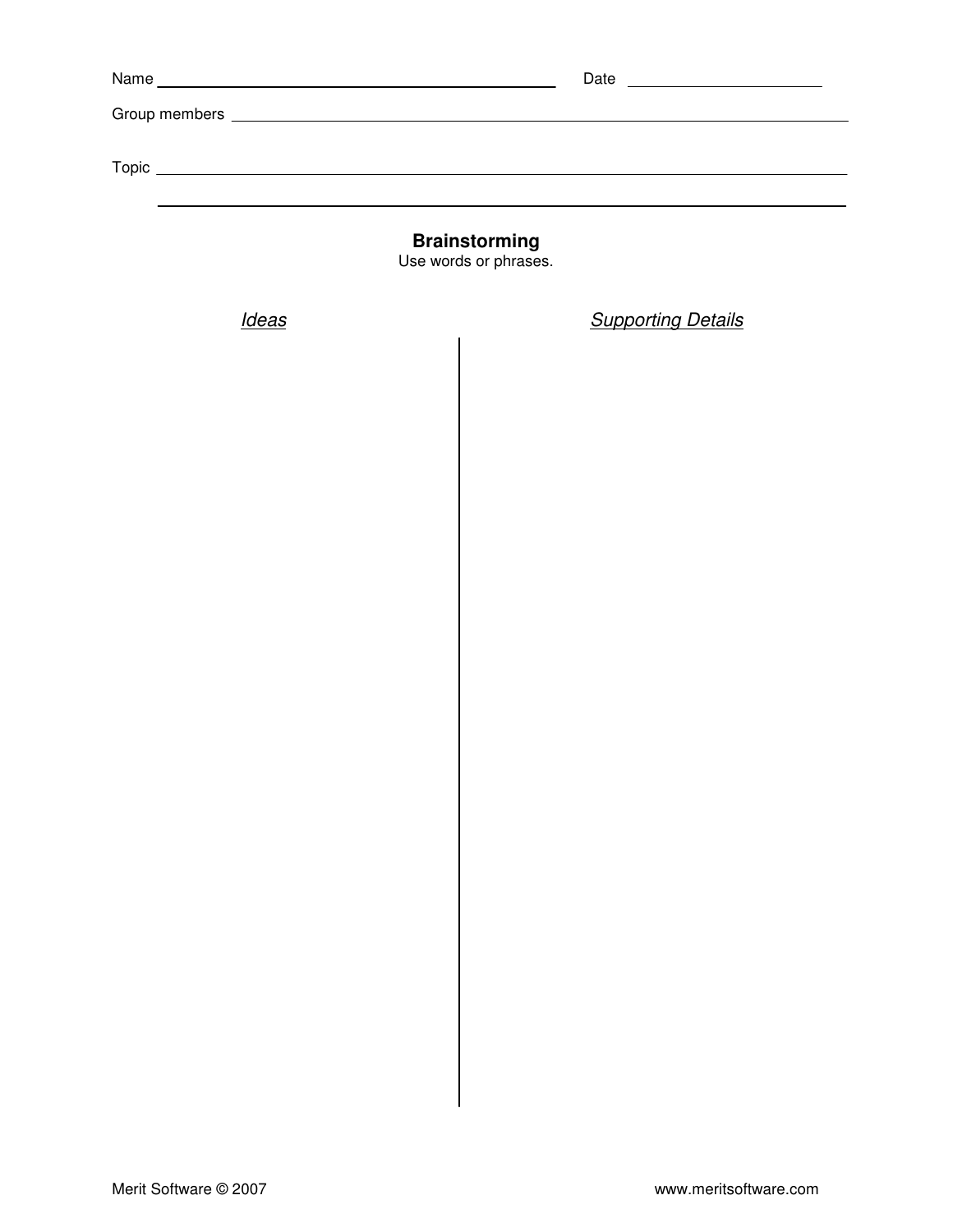| Name | <u> 1989 - Johann Stein, mars an deutscher Stein und der Stein und der Stein und der Stein und der Stein und der</u> | Date |
|------|----------------------------------------------------------------------------------------------------------------------|------|
|      |                                                                                                                      |      |
|      |                                                                                                                      |      |
|      |                                                                                                                      |      |
|      |                                                                                                                      |      |
|      |                                                                                                                      |      |

**Brainstorming** 

Use words or phrases.

Ideas **Supporting Details**